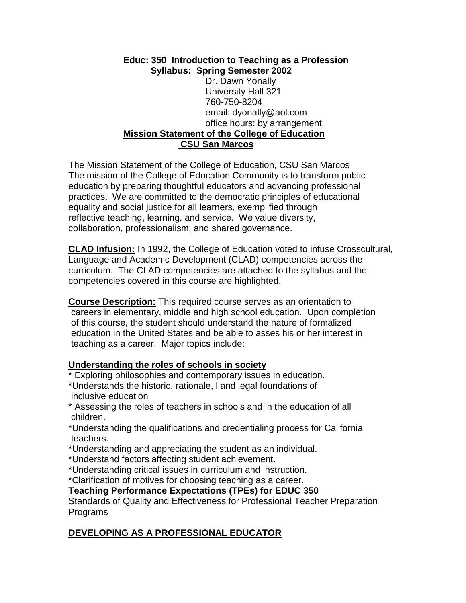#### **Educ: 350 Introduction to Teaching as a Profession Syllabus: Spring Semester 2002** Dr. Dawn Yonally University Hall 321 760-750-8204 email: dyonally@aol.com office hours: by arrangement **Mission Statement of the College of Education CSU San Marcos**

The Mission Statement of the College of Education, CSU San Marcos The mission of the College of Education Community is to transform public education by preparing thoughtful educators and advancing professional practices. We are committed to the democratic principles of educational equality and social justice for all learners, exemplified through reflective teaching, learning, and service. We value diversity, collaboration, professionalism, and shared governance.

**CLAD Infusion:** In 1992, the College of Education voted to infuse Crosscultural, Language and Academic Development (CLAD) competencies across the curriculum. The CLAD competencies are attached to the syllabus and the competencies covered in this course are highlighted.

**Course Description:** This required course serves as an orientation to careers in elementary, middle and high school education. Upon completion of this course, the student should understand the nature of formalized education in the United States and be able to asses his or her interest in teaching as a career. Major topics include:

#### **Understanding the roles of schools in society**

\* Exploring philosophies and contemporary issues in education.

\*Understands the historic, rationale, l and legal foundations of inclusive education

\* Assessing the roles of teachers in schools and in the education of all children.

\*Understanding the qualifications and credentialing process for California teachers.

\*Understanding and appreciating the student as an individual.

\*Understand factors affecting student achievement.

\*Understanding critical issues in curriculum and instruction.

\*Clarification of motives for choosing teaching as a career.

#### **Teaching Performance Expectations (TPEs) for EDUC 350**

Standards of Quality and Effectiveness for Professional Teacher Preparation Programs

## **DEVELOPING AS A PROFESSIONAL EDUCATOR**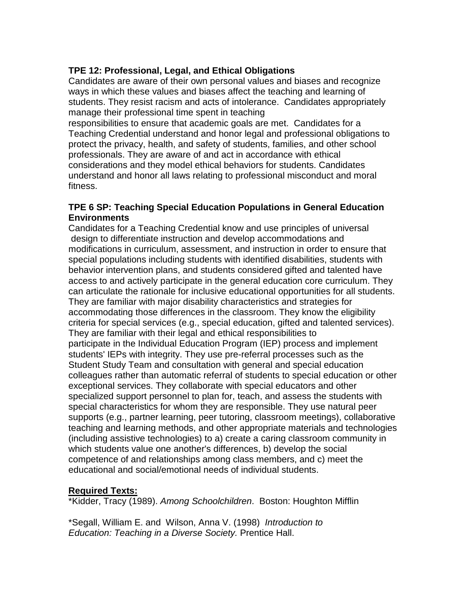## **TPE 12: Professional, Legal, and Ethical Obligations**

Candidates are aware of their own personal values and biases and recognize ways in which these values and biases affect the teaching and learning of students. They resist racism and acts of intolerance. Candidates appropriately manage their professional time spent in teaching

responsibilities to ensure that academic goals are met. Candidates for a Teaching Credential understand and honor legal and professional obligations to protect the privacy, health, and safety of students, families, and other school professionals. They are aware of and act in accordance with ethical considerations and they model ethical behaviors for students. Candidates understand and honor all laws relating to professional misconduct and moral fitness.

#### **TPE 6 SP: Teaching Special Education Populations in General Education Environments**

Candidates for a Teaching Credential know and use principles of universal design to differentiate instruction and develop accommodations and modifications in curriculum, assessment, and instruction in order to ensure that special populations including students with identified disabilities, students with behavior intervention plans, and students considered gifted and talented have access to and actively participate in the general education core curriculum. They can articulate the rationale for inclusive educational opportunities for all students. They are familiar with major disability characteristics and strategies for accommodating those differences in the classroom. They know the eligibility criteria for special services (e.g., special education, gifted and talented services). They are familiar with their legal and ethical responsibilities to participate in the Individual Education Program (IEP) process and implement students' IEPs with integrity. They use pre-referral processes such as the Student Study Team and consultation with general and special education colleagues rather than automatic referral of students to special education or other exceptional services. They collaborate with special educators and other specialized support personnel to plan for, teach, and assess the students with special characteristics for whom they are responsible. They use natural peer supports (e.g., partner learning, peer tutoring, classroom meetings), collaborative teaching and learning methods, and other appropriate materials and technologies (including assistive technologies) to a) create a caring classroom community in which students value one another's differences, b) develop the social competence of and relationships among class members, and c) meet the educational and social/emotional needs of individual students.

#### **Required Texts:**

\*Kidder, Tracy (1989). *Among Schoolchildren*. Boston: Houghton Mifflin

\*Segall, William E. and Wilson, Anna V. (1998) *Introduction to Education: Teaching in a Diverse Society.* Prentice Hall.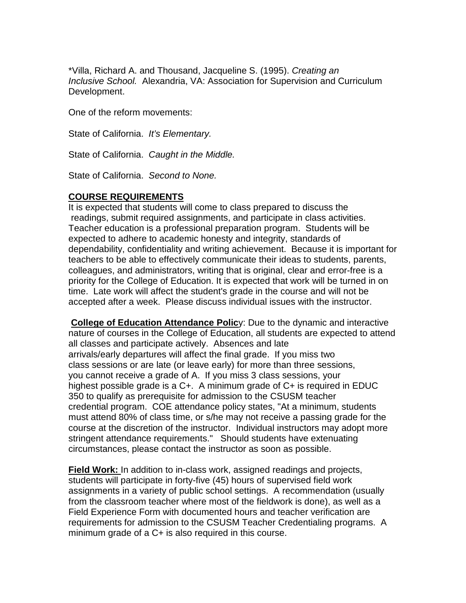\*Villa, Richard A. and Thousand, Jacqueline S. (1995). *Creating an Inclusive School.* Alexandria, VA: Association for Supervision and Curriculum Development.

One of the reform movements:

State of California. *It's Elementary.*

State of California. *Caught in the Middle.*

State of California. *Second to None.*

#### **COURSE REQUIREMENTS**

It is expected that students will come to class prepared to discuss the readings, submit required assignments, and participate in class activities. Teacher education is a professional preparation program. Students will be expected to adhere to academic honesty and integrity, standards of dependability, confidentiality and writing achievement. Because it is important for teachers to be able to effectively communicate their ideas to students, parents, colleagues, and administrators, writing that is original, clear and error-free is a priority for the College of Education. It is expected that work will be turned in on time. Late work will affect the student's grade in the course and will not be accepted after a week. Please discuss individual issues with the instructor.

**College of Education Attendance Polic**y: Due to the dynamic and interactive nature of courses in the College of Education, all students are expected to attend all classes and participate actively. Absences and late arrivals/early departures will affect the final grade. If you miss two class sessions or are late (or leave early) for more than three sessions, you cannot receive a grade of A. If you miss 3 class sessions, your highest possible grade is a C+. A minimum grade of C+ is required in EDUC 350 to qualify as prerequisite for admission to the CSUSM teacher credential program. COE attendance policy states, "At a minimum, students must attend 80% of class time, or s/he may not receive a passing grade for the course at the discretion of the instructor. Individual instructors may adopt more stringent attendance requirements." Should students have extenuating circumstances, please contact the instructor as soon as possible.

**Field Work:** In addition to in-class work, assigned readings and projects, students will participate in forty-five (45) hours of supervised field work assignments in a variety of public school settings. A recommendation (usually from the classroom teacher where most of the fieldwork is done), as well as a Field Experience Form with documented hours and teacher verification are requirements for admission to the CSUSM Teacher Credentialing programs. A minimum grade of a C+ is also required in this course.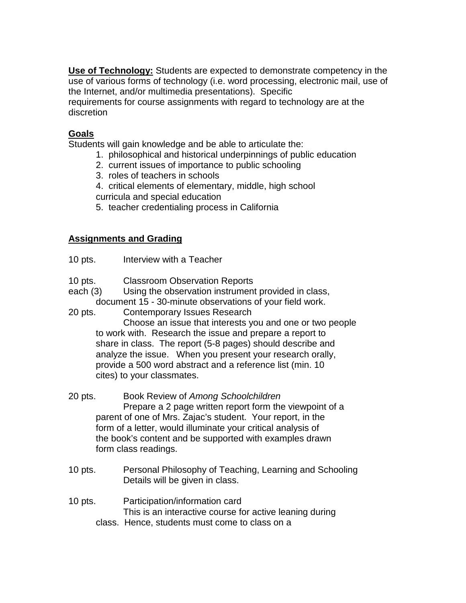**Use of Technology:** Students are expected to demonstrate competency in the use of various forms of technology (i.e. word processing, electronic mail, use of the Internet, and/or multimedia presentations). Specific

requirements for course assignments with regard to technology are at the discretion

## **Goals**

Students will gain knowledge and be able to articulate the:

- 1. philosophical and historical underpinnings of public education
- 2. current issues of importance to public schooling
- 3. roles of teachers in schools
- 4. critical elements of elementary, middle, high school
- curricula and special education
- 5. teacher credentialing process in California

#### **Assignments and Grading**

- 10 pts. Interview with a Teacher
- 10 pts. Classroom Observation Reports
- each (3) Using the observation instrument provided in class, document 15 - 30-minute observations of your field work.
- 20 pts. Contemporary Issues Research

Choose an issue that interests you and one or two people to work with. Research the issue and prepare a report to share in class. The report (5-8 pages) should describe and analyze the issue. When you present your research orally, provide a 500 word abstract and a reference list (min. 10 cites) to your classmates.

- 20 pts. Book Review of *Among Schoolchildren* Prepare a 2 page written report form the viewpoint of a parent of one of Mrs. Zajac's student. Your report, in the form of a letter, would illuminate your critical analysis of the book's content and be supported with examples drawn form class readings.
- 10 pts. Personal Philosophy of Teaching, Learning and Schooling Details will be given in class.
- 10 pts. Participation/information card This is an interactive course for active leaning during class. Hence, students must come to class on a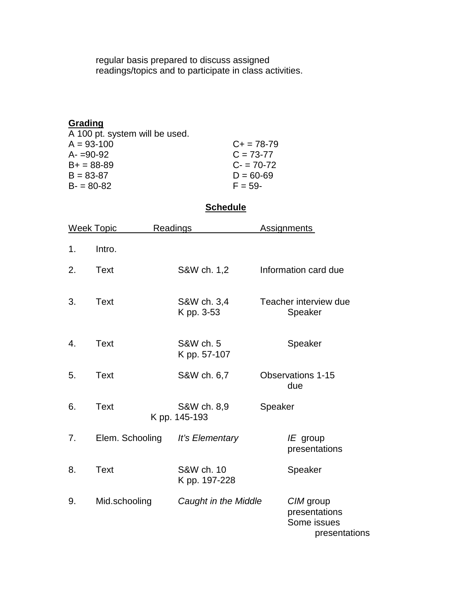regular basis prepared to discuss assigned readings/topics and to participate in class activities.

| $C_{+}$ = 78-79 |
|-----------------|
| $C = 73 - 77$   |
| $C = 70-72$     |
| $D = 60 - 69$   |
| $F = 59 -$      |
|                 |

# **Schedule**

| <b>Week Topic</b> |                 | <b>Readings</b> |                              |         | <b>Assignments</b>                                         |
|-------------------|-----------------|-----------------|------------------------------|---------|------------------------------------------------------------|
| 1.                | Intro.          |                 |                              |         |                                                            |
| 2.                | Text            |                 | S&W ch. 1,2                  |         | Information card due                                       |
| 3.                | Text            |                 | S&W ch. 3,4<br>K pp. 3-53    |         | Teacher interview due<br>Speaker                           |
| 4.                | Text            |                 | S&W ch. 5<br>K pp. 57-107    |         | Speaker                                                    |
| 5.                | Text            |                 | S&W ch. 6,7                  |         | <b>Observations 1-15</b><br>due                            |
| 6.                | <b>Text</b>     |                 | S&W ch. 8,9<br>K pp. 145-193 | Speaker |                                                            |
| 7.                | Elem. Schooling |                 | It's Elementary              |         | $IE$ group<br>presentations                                |
| 8.                | <b>Text</b>     |                 | S&W ch. 10<br>K pp. 197-228  |         | Speaker                                                    |
| 9.                | Mid.schooling   |                 | Caught in the Middle         |         | CIM group<br>presentations<br>Some issues<br>presentations |